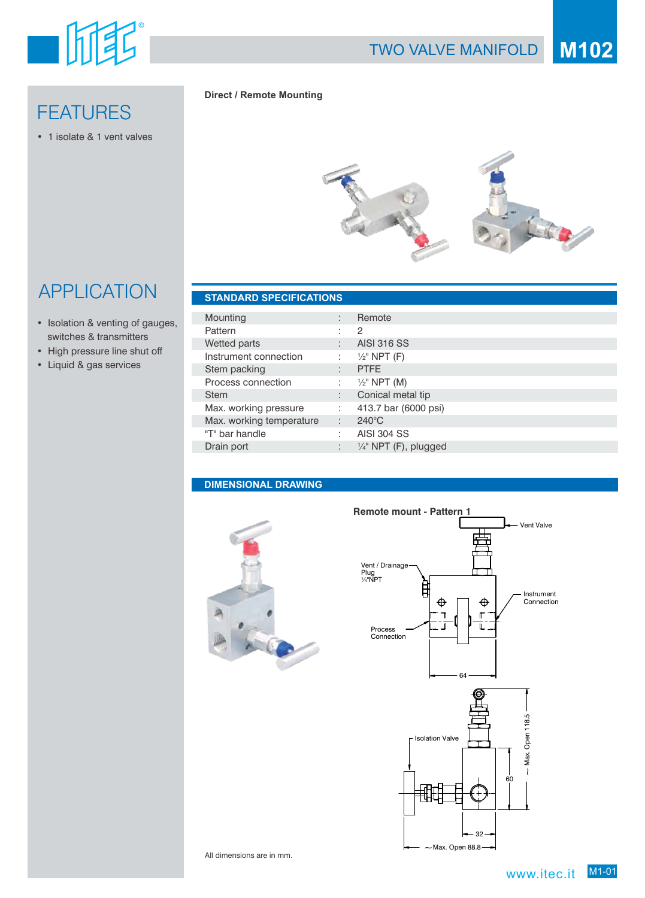

# **FEATURES**

• 1 isolate & 1 vent valves

#### **Direct / Remote Mounting**



# APPLICATION **STANDARD SPECIFICATIONS**

- Isolation & venting of gauges, switches & transmitters
- High pressure line shut off
- Liquid & gas services

| Mounting                 | ٠              | Remote                           |
|--------------------------|----------------|----------------------------------|
| Pattern                  |                | 2                                |
| Wetted parts             |                | <b>AISI 316 SS</b>               |
| Instrument connection    | ÷              | $\frac{1}{2}$ " NPT (F)          |
| Stem packing             | $\blacksquare$ | <b>PTFE</b>                      |
| Process connection       | ٠              | $\frac{1}{2}$ " NPT (M)          |
| <b>Stem</b>              | ٠              | Conical metal tip                |
| Max. working pressure    | ÷              | 413.7 bar (6000 psi)             |
| Max. working temperature | ÷.             | $240^{\circ}$ C                  |
| "T" bar handle           | ٠.             | <b>AISI 304 SS</b>               |
| Drain port               | ٠              | $\frac{1}{4}$ " NPT (F), plugged |
|                          |                |                                  |

#### **DIMENSIONAL DRAWING**





All dimensions are in mm.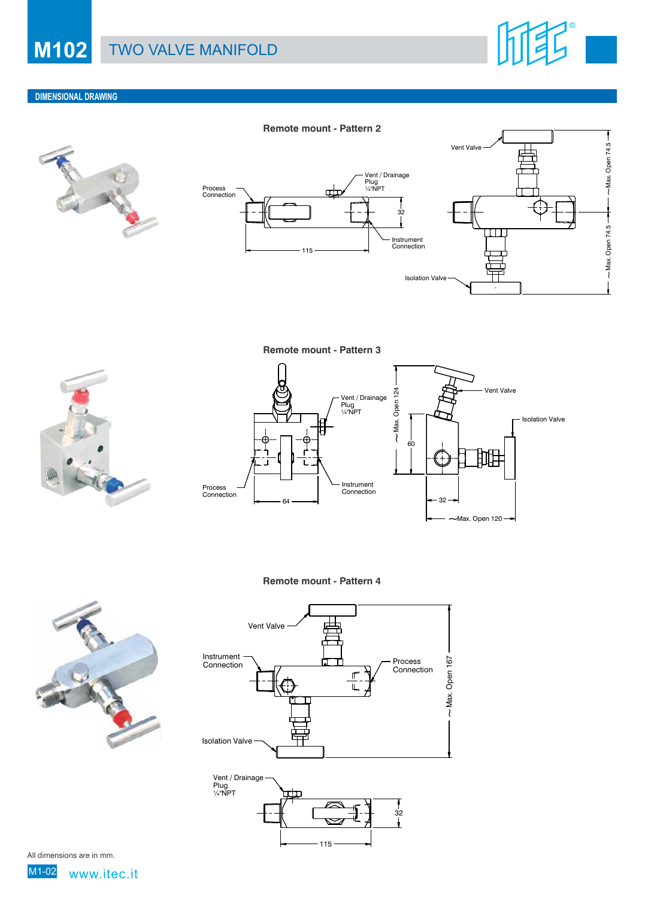

#### **DIMENSIONAL DRAWING**



**Remote mount - Pattern 2**





**Remote mount - Pattern 3**





**Remote mount - Pattern 4**





115

All dimensions are in mm.

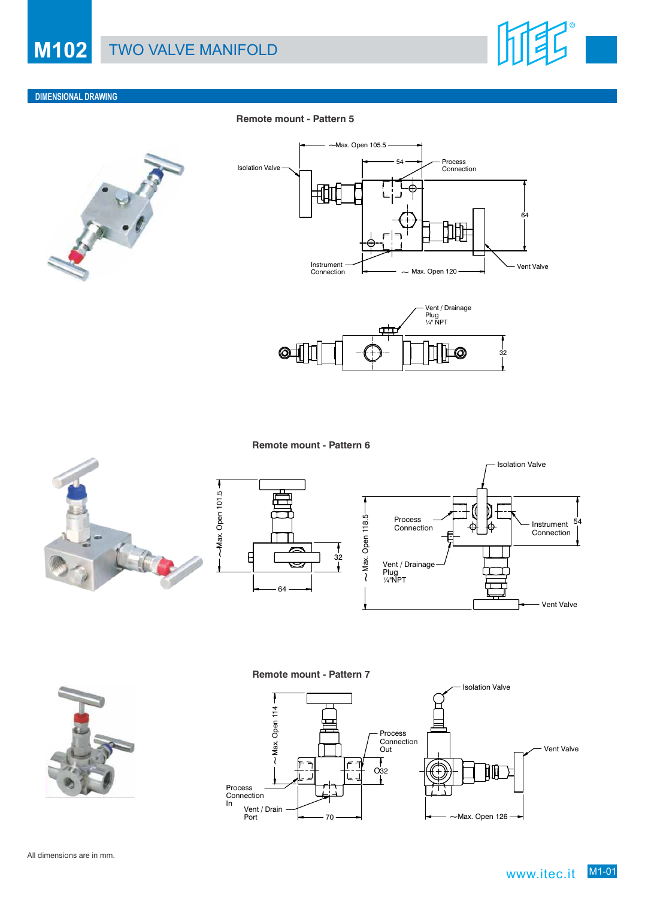

#### **DIMENSIONAL DRAWING**

#### **Remote mount - Pattern 5**







**Remote mount - Pattern 6**





t





#### **Remote mount - Pattern 7**

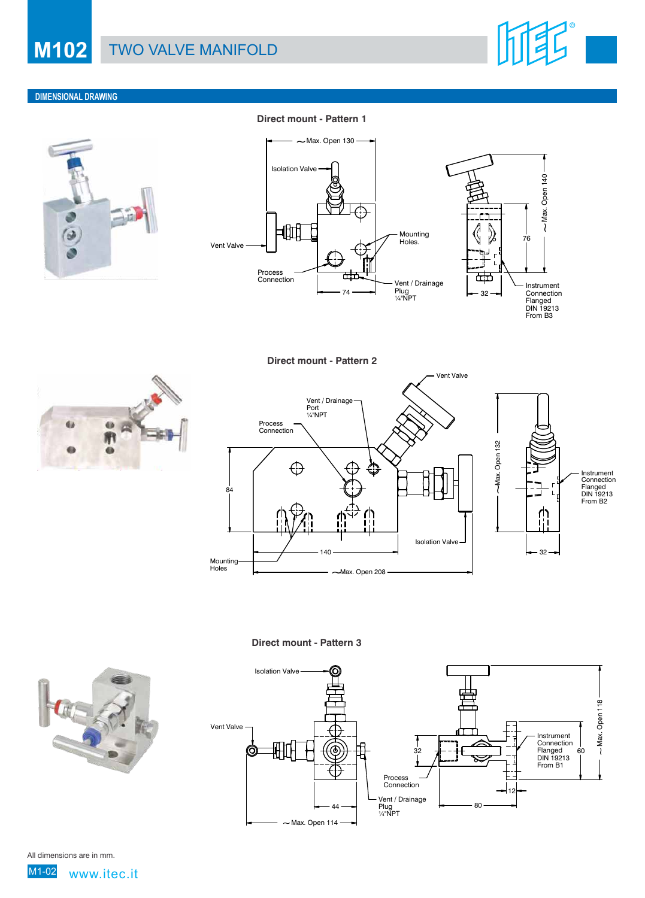## **M102** TWO VALVE MANIFOLD



#### **DIMENSIONAL DRAWING**



**Direct mount - Pattern 1**



**Direct mount - Pattern 2**





**Direct mount - Pattern 3**





All dimensions are in mm.